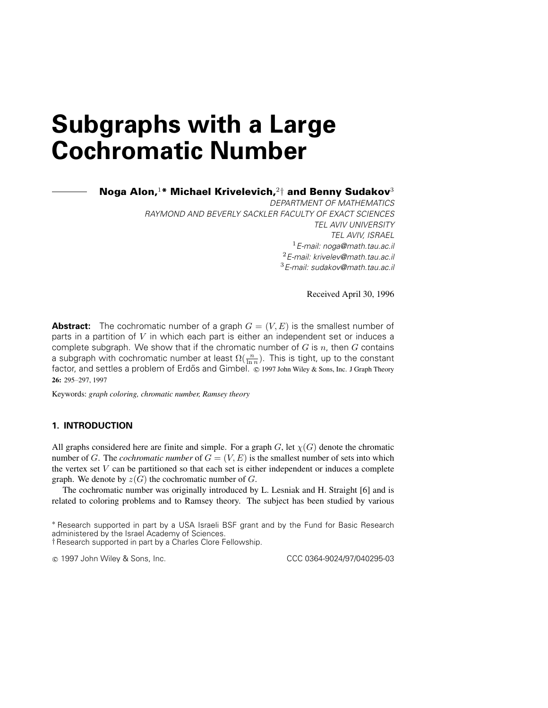## **Subgraphs with a Large Cochromatic Number**

**Noga Alon,**<sup>1</sup>**\* Michael Krivelevich,**<sup>2</sup>† **and Benny Sudakov**<sup>3</sup>

DEPARTMENT OF MATHEMATICS RAYMOND AND BEVERLY SACKLER FACULTY OF EXACT SCIENCES TEL AVIV UNIVERSITY TEL AVIV, ISRAEL  $1$ E-mail: noga@math.tau.ac.il 2E-mail: krivelev@math.tau.ac.il 3E-mail: sudakov@math.tau.ac.il

Received April 30, 1996

**Abstract:** The cochromatic number of a graph  $G = (V, E)$  is the smallest number of parts in a partition of  $V$  in which each part is either an independent set or induces a complete subgraph. We show that if the chromatic number of  $G$  is  $n$ , then  $G$  contains a subgraph with cochromatic number at least  $\Omega(\frac{n}{\ln n})$ . This is tight, up to the constant factor, and settles a problem of Erdős and Gimbel.  $\degree$  1997 John Wiley & Sons, Inc. J Graph Theory **26:** 295–297, 1997

Keywords: graph coloring, chromatic number, Ramsey theory

## **1. INTRODUCTION**

All graphs considered here are finite and simple. For a graph G, let  $\chi(G)$  denote the chromatic number of G. The cochromatic number of  $G = (V, E)$  is the smallest number of sets into which the vertex set  $V$  can be partitioned so that each set is either independent or induces a complete graph. We denote by  $z(G)$  the cochromatic number of  $G$ .

The cochromatic number was originally introduced by L. Lesniak and H. Straight [6] and is related to coloring problems and to Ramsey theory. The subject has been studied by various

c 1997 John Wiley & Sons, Inc. CCC 0364-9024/97/040295-03

<sup>\*</sup> Research supported in part by a USA Israeli BSF grant and by the Fund for Basic Research administered by the Israel Academy of Sciences.

<sup>†</sup>Research supported in part by a Charles Clore Fellowship.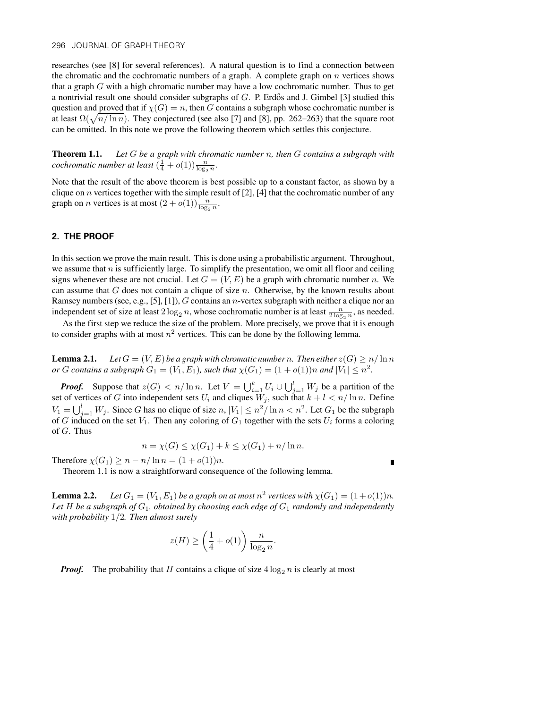researches (see [8] for several references). A natural question is to find a connection between the chromatic and the cochromatic numbers of a graph. A complete graph on  $n$  vertices shows that a graph G with a high chromatic number may have a low cochromatic number. Thus to get a nontrivial result one should consider subgraphs of  $G$ . P. Erdős and J. Gimbel [3] studied this question and proved that if  $\chi(G) = n$ , then G contains a subgraph whose cochromatic number is at least  $\Omega(\sqrt{n/\ln n})$ . They conjectured (see also [7] and [8], pp. 262–263) that the square root can be omitted. In this note we prove the following theorem which settles this conjecture.

**Theorem 1.1.** Let  $G$  be a graph with chromatic number  $n$ , then  $G$  contains a subgraph with cochromatic number at least  $(\frac{1}{4} + o(1)) \frac{n}{\log_2 n}$ .

Note that the result of the above theorem is best possible up to a constant factor, as shown by a clique on *n* vertices together with the simple result of [2], [4] that the cochromatic number of any graph on *n* vertices is at most  $(2+o(1))\frac{n}{\log_2 n}$ .

## **2. THE PROOF**

In this section we prove the main result. This is done using a probabilistic argument. Throughout, we assume that n is sufficiently large. To simplify the presentation, we omit all floor and ceiling signs whenever these are not crucial. Let  $G = (V, E)$  be a graph with chromatic number n. We can assume that  $G$  does not contain a clique of size  $n$ . Otherwise, by the known results about Ramsey numbers (see, e.g., [5], [1]), G contains an *n*-vertex subgraph with neither a clique nor an independent set of size at least  $2 \log_2 n$ , whose cochromatic number is at least  $\frac{n}{2 \log_2 n}$ , as needed.

As the first step we reduce the size of the problem. More precisely, we prove that it is enough to consider graphs with at most  $n^2$  vertices. This can be done by the following lemma.

**Lemma 2.1.** Let  $G = (V, E)$  be a graph with chromatic number n. Then either  $z(G) \ge n/\ln n$ or G contains a subgraph  $G_1 = (V_1, E_1)$ , such that  $\chi(G_1) = (1 + o(1))n$  and  $|V_1| \leq n^2$ .

*Proof.* Suppose that  $z(G) < n/\ln n$ . Let  $V = \bigcup_{i=1}^{k} U_i \cup \bigcup_{j=1}^{l} W_j$  be a partition of the set of vertices of G into independent sets  $U_i$  and cliques  $W_j$ , such that  $k + l < n/\ln n$ . Define  $V_1 = \bigcup_{j=1}^l W_j$ . Since G has no clique of size  $n, |V_1| \leq n^2/\ln n < n^2$ . Let  $G_1$  be the subgraph of G induced on the set  $V_1$ . Then any coloring of  $G_1$  together with the sets  $U_i$  forms a coloring of  $G$ . Thus

$$
n = \chi(G) \le \chi(G_1) + k \le \chi(G_1) + n/\ln n.
$$

Ľ

Therefore  $\chi(G_1) \geq n - n/\ln n = (1 + o(1))n$ .

Theorem 1.1 is now a straightforward consequence of the following lemma.

**Lemma 2.2.** Let  $G_1 = (V_1, E_1)$  be a graph on at most  $n^2$  vertices with  $\chi(G_1) = (1 + o(1))n$ . Let H be a subgraph of  $G_1$ , obtained by choosing each edge of  $G_1$  randomly and independently with probability  $1/2$ . Then almost surely

$$
z(H) \ge \left(\frac{1}{4} + o(1)\right) \frac{n}{\log_2 n}.
$$

*Proof.* The probability that H contains a clique of size  $4 \log_2 n$  is clearly at most